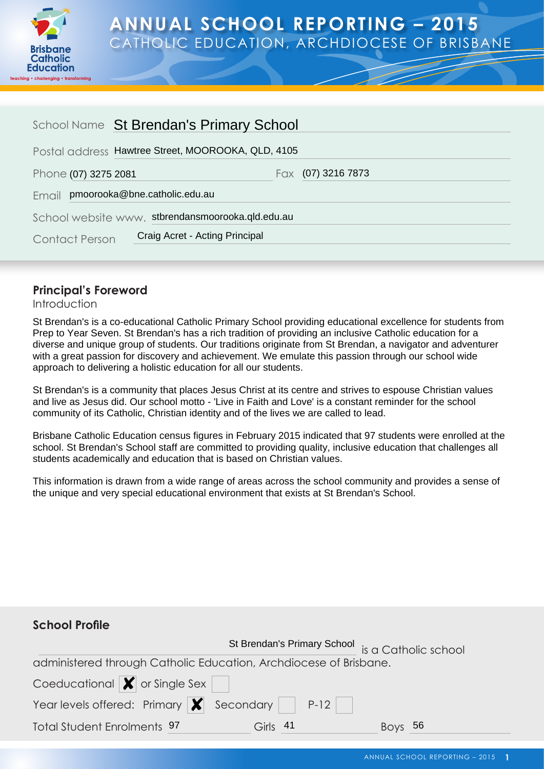

# **ANNUAL SCHOOL REPORTING – 2015** CATHOLIC EDUCATION, ARCHDIOCESE OF BRISBANE

| School Name St Brendan's Primary School            |                                |                      |  |
|----------------------------------------------------|--------------------------------|----------------------|--|
| Postal address Hawtree Street, MOOROOKA, QLD, 4105 |                                |                      |  |
| Phone (07) 3275 2081                               |                                | Fax $(07)$ 3216 7873 |  |
| pmoorooka@bne.catholic.edu.au<br>Email             |                                |                      |  |
| School website www. stbrendansmoorooka.qld.edu.au  |                                |                      |  |
| <b>Contact Person</b>                              | Craig Acret - Acting Principal |                      |  |

# **Principal's Foreword**

#### Introduction

St Brendan's is a co-educational Catholic Primary School providing educational excellence for students from Prep to Year Seven. St Brendan's has a rich tradition of providing an inclusive Catholic education for a diverse and unique group of students. Our traditions originate from St Brendan, a navigator and adventurer with a great passion for discovery and achievement. We emulate this passion through our school wide approach to delivering a holistic education for all our students.

St Brendan's is a community that places Jesus Christ at its centre and strives to espouse Christian values and live as Jesus did. Our school motto - 'Live in Faith and Love' is a constant reminder for the school community of its Catholic, Christian identity and of the lives we are called to lead.

Brisbane Catholic Education census figures in February 2015 indicated that 97 students were enrolled at the school. St Brendan's School staff are committed to providing quality, inclusive education that challenges all students academically and education that is based on Christian values.

This information is drawn from a wide range of areas across the school community and provides a sense of the unique and very special educational environment that exists at St Brendan's School.

# **School Profile**

|                                                                             |          | St Brendan's Primary School is a Catholic school |
|-----------------------------------------------------------------------------|----------|--------------------------------------------------|
| administered through Catholic Education, Archdiocese of Brisbane.           |          |                                                  |
| Coeducational $\vert \bm{\mathsf{X}} \vert$ or Single Sex                   |          |                                                  |
| Year levels offered: Primary $\vert \bm{\mathsf{X}} \vert$ Secondary   P-12 |          |                                                  |
| <b>Total Student Enrolments 97</b>                                          | Girls 41 | Boys $56$                                        |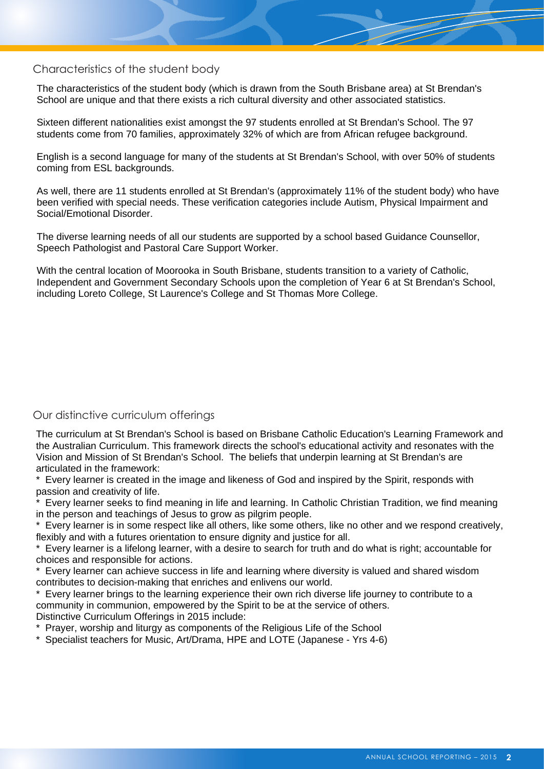#### Characteristics of the student body

The characteristics of the student body (which is drawn from the South Brisbane area) at St Brendan's School are unique and that there exists a rich cultural diversity and other associated statistics.

Sixteen different nationalities exist amongst the 97 students enrolled at St Brendan's School. The 97 students come from 70 families, approximately 32% of which are from African refugee background.

English is a second language for many of the students at St Brendan's School, with over 50% of students coming from ESL backgrounds.

As well, there are 11 students enrolled at St Brendan's (approximately 11% of the student body) who have been verified with special needs. These verification categories include Autism, Physical Impairment and Social/Emotional Disorder.

The diverse learning needs of all our students are supported by a school based Guidance Counsellor, Speech Pathologist and Pastoral Care Support Worker.

With the central location of Moorooka in South Brisbane, students transition to a variety of Catholic, Independent and Government Secondary Schools upon the completion of Year 6 at St Brendan's School, including Loreto College, St Laurence's College and St Thomas More College.

#### Our distinctive curriculum offerings

The curriculum at St Brendan's School is based on Brisbane Catholic Education's Learning Framework and the Australian Curriculum. This framework directs the school's educational activity and resonates with the Vision and Mission of St Brendan's School. The beliefs that underpin learning at St Brendan's are articulated in the framework:

\* Every learner is created in the image and likeness of God and inspired by the Spirit, responds with passion and creativity of life.

Every learner seeks to find meaning in life and learning. In Catholic Christian Tradition, we find meaning in the person and teachings of Jesus to grow as pilgrim people.

Every learner is in some respect like all others, like some others, like no other and we respond creatively, flexibly and with a futures orientation to ensure dignity and justice for all.

Every learner is a lifelong learner, with a desire to search for truth and do what is right; accountable for choices and responsible for actions.

\* Every learner can achieve success in life and learning where diversity is valued and shared wisdom contributes to decision-making that enriches and enlivens our world.

\* Every learner brings to the learning experience their own rich diverse life journey to contribute to a community in communion, empowered by the Spirit to be at the service of others. Distinctive Curriculum Offerings in 2015 include:

\* Prayer, worship and liturgy as components of the Religious Life of the School

\* Specialist teachers for Music, Art/Drama, HPE and LOTE (Japanese - Yrs 4-6)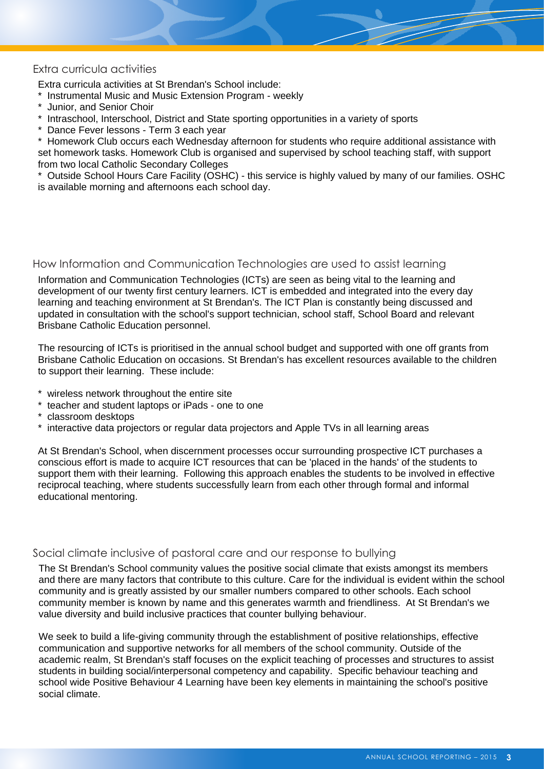### Extra curricula activities

Extra curricula activities at St Brendan's School include:

- \* Instrumental Music and Music Extension Program weekly
- Junior, and Senior Choir
- Intraschool, Interschool, District and State sporting opportunities in a variety of sports
- \* Dance Fever lessons Term 3 each year

\* Homework Club occurs each Wednesday afternoon for students who require additional assistance with set homework tasks. Homework Club is organised and supervised by school teaching staff, with support from two local Catholic Secondary Colleges

\* Outside School Hours Care Facility (OSHC) - this service is highly valued by many of our families. OSHC is available morning and afternoons each school day.

### How Information and Communication Technologies are used to assist learning

Information and Communication Technologies (ICTs) are seen as being vital to the learning and development of our twenty first century learners. ICT is embedded and integrated into the every day learning and teaching environment at St Brendan's. The ICT Plan is constantly being discussed and updated in consultation with the school's support technician, school staff, School Board and relevant Brisbane Catholic Education personnel.

The resourcing of ICTs is prioritised in the annual school budget and supported with one off grants from Brisbane Catholic Education on occasions. St Brendan's has excellent resources available to the children to support their learning. These include:

- \* wireless network throughout the entire site
- \* teacher and student laptops or iPads one to one
- \* classroom desktops
- \* interactive data projectors or regular data projectors and Apple TVs in all learning areas

At St Brendan's School, when discernment processes occur surrounding prospective ICT purchases a conscious effort is made to acquire ICT resources that can be 'placed in the hands' of the students to support them with their learning. Following this approach enables the students to be involved in effective reciprocal teaching, where students successfully learn from each other through formal and informal educational mentoring.

#### Social climate inclusive of pastoral care and our response to bullying

The St Brendan's School community values the positive social climate that exists amongst its members and there are many factors that contribute to this culture. Care for the individual is evident within the school community and is greatly assisted by our smaller numbers compared to other schools. Each school community member is known by name and this generates warmth and friendliness. At St Brendan's we value diversity and build inclusive practices that counter bullying behaviour.

We seek to build a life-giving community through the establishment of positive relationships, effective communication and supportive networks for all members of the school community. Outside of the academic realm, St Brendan's staff focuses on the explicit teaching of processes and structures to assist students in building social/interpersonal competency and capability. Specific behaviour teaching and school wide Positive Behaviour 4 Learning have been key elements in maintaining the school's positive social climate.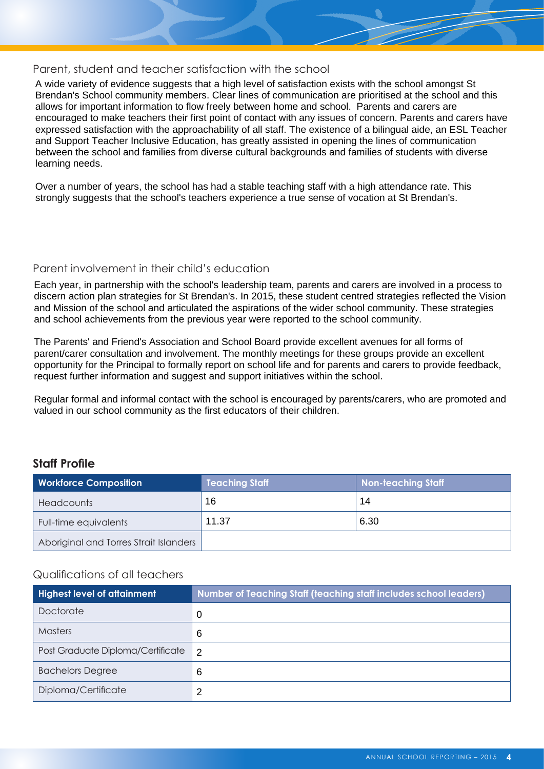#### Parent, student and teacher satisfaction with the school

A wide variety of evidence suggests that a high level of satisfaction exists with the school amongst St Brendan's School community members. Clear lines of communication are prioritised at the school and this allows for important information to flow freely between home and school. Parents and carers are encouraged to make teachers their first point of contact with any issues of concern. Parents and carers have expressed satisfaction with the approachability of all staff. The existence of a bilingual aide, an ESL Teacher and Support Teacher Inclusive Education, has greatly assisted in opening the lines of communication between the school and families from diverse cultural backgrounds and families of students with diverse learning needs.

Over a number of years, the school has had a stable teaching staff with a high attendance rate. This strongly suggests that the school's teachers experience a true sense of vocation at St Brendan's.

#### Parent involvement in their child's education

Each year, in partnership with the school's leadership team, parents and carers are involved in a process to discern action plan strategies for St Brendan's. In 2015, these student centred strategies reflected the Vision and Mission of the school and articulated the aspirations of the wider school community. These strategies and school achievements from the previous year were reported to the school community.

The Parents' and Friend's Association and School Board provide excellent avenues for all forms of parent/carer consultation and involvement. The monthly meetings for these groups provide an excellent opportunity for the Principal to formally report on school life and for parents and carers to provide feedback, request further information and suggest and support initiatives within the school.

Regular formal and informal contact with the school is encouraged by parents/carers, who are promoted and valued in our school community as the first educators of their children.

### **Staff Profile**

| <b>Workforce Composition</b>           | <b>Teaching Staff</b> | <b>Non-teaching Staff</b> |
|----------------------------------------|-----------------------|---------------------------|
| <b>Headcounts</b>                      | 16                    | 14                        |
| Full-time equivalents                  | 11.37                 | 6.30                      |
| Aboriginal and Torres Strait Islanders |                       |                           |

### Qualifications of all teachers

| <b>Highest level of attainment</b> | Number of Teaching Staff (teaching staff includes school leaders) |
|------------------------------------|-------------------------------------------------------------------|
| Doctorate                          | 0                                                                 |
| <b>Masters</b>                     | 6                                                                 |
| Post Graduate Diploma/Certificate  | $\overline{2}$                                                    |
| <b>Bachelors Degree</b>            | 6                                                                 |
| Diploma/Certificate                | 2                                                                 |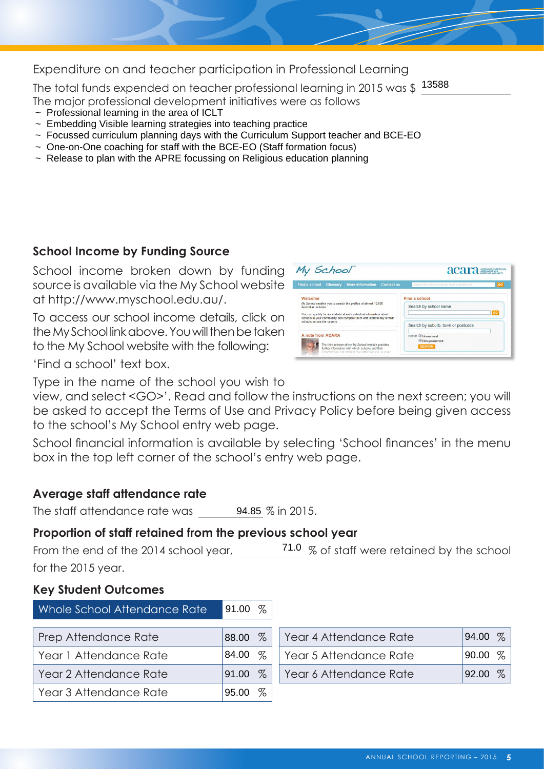Expenditure on and teacher participation in Professional Learning

The total funds expended on teacher professional learning in 2015 was \$ $\;\frac{13588}{13580}$ 

- $\sim$  Professional learning in the area of ICLT
- ~ Embedding Visible learning strategies into teaching practice
- $\sim$  Focussed curriculum planning days with the Curriculum Support teacher and BCE-EO
- ~ One-on-One coaching for staff with the BCE-EO (Staff formation focus)
- $\sim$  Release to plan with the APRE focussing on Religious education planning

# **School Income by Funding Source**

School income broken down by funding source is available via the My School website at [http://www.myschool.edu.au/.](http://www.myschool.edu.au/)

To access our school income details, click on the My School link above. You will then be taken to the My School website with the following:



'Find a school' text box.

Type in the name of the school you wish to

view, and select <GO>'. Read and follow the instructions on the next screen; you will be asked to accept the Terms of Use and Privacy Policy before being given access to the school's My School entry web page.

School financial information is available by selecting 'School finances' in the menu box in the top left corner of the school's entry web page.

# **Average staff attendance rate**

The staff attendance rate was 94.85 % in 2015.

# **Proportion of staff retained from the previous school year**

From the end of the 2014 school year,  $\frac{71.0}{6}$  % of staff were retained by the school for the 2015 year.

# **Key Student Outcomes**

| Whole School Attendance Rate | 91.00 $\%$    |                        |               |
|------------------------------|---------------|------------------------|---------------|
| Prep Attendance Rate         | $\%$<br>88.00 | Year 4 Attendance Rate | $\%$<br>94.00 |
| Year 1 Attendance Rate       | $\%$<br>84.00 | Year 5 Attendance Rate | $\%$<br>90.00 |
| Year 2 Attendance Rate       | 91.00 %       | Year 6 Attendance Rate | $\%$<br>92.00 |
| Year 3 Attendance Rate       | $\%$<br>95.00 |                        |               |